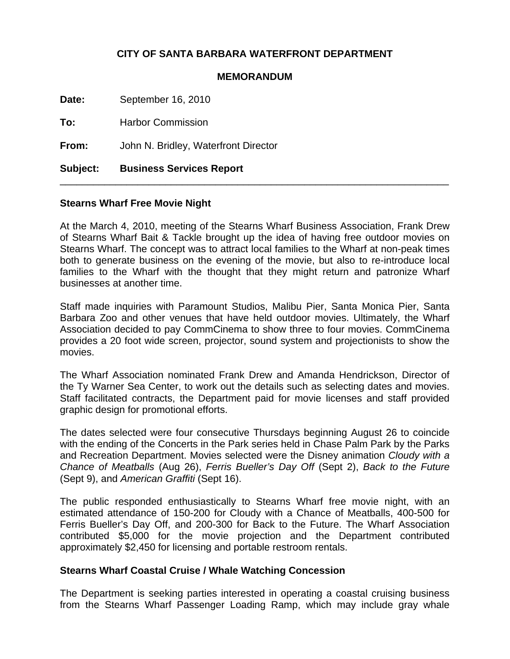# **CITY OF SANTA BARBARA WATERFRONT DEPARTMENT**

#### **MEMORANDUM**

**Date:** September 16, 2010 **To:** Harbor Commission **From:** John N. Bridley, Waterfront Director **Subject: Business Services Report** \_\_\_\_\_\_\_\_\_\_\_\_\_\_\_\_\_\_\_\_\_\_\_\_\_\_\_\_\_\_\_\_\_\_\_\_\_\_\_\_\_\_\_\_\_\_\_\_\_\_\_\_\_\_\_\_\_\_\_\_\_\_\_\_\_\_\_\_\_\_

### **Stearns Wharf Free Movie Night**

At the March 4, 2010, meeting of the Stearns Wharf Business Association, Frank Drew of Stearns Wharf Bait & Tackle brought up the idea of having free outdoor movies on Stearns Wharf. The concept was to attract local families to the Wharf at non-peak times both to generate business on the evening of the movie, but also to re-introduce local families to the Wharf with the thought that they might return and patronize Wharf businesses at another time.

Staff made inquiries with Paramount Studios, Malibu Pier, Santa Monica Pier, Santa Barbara Zoo and other venues that have held outdoor movies. Ultimately, the Wharf Association decided to pay CommCinema to show three to four movies. CommCinema provides a 20 foot wide screen, projector, sound system and projectionists to show the movies.

The Wharf Association nominated Frank Drew and Amanda Hendrickson, Director of the Ty Warner Sea Center, to work out the details such as selecting dates and movies. Staff facilitated contracts, the Department paid for movie licenses and staff provided graphic design for promotional efforts.

The dates selected were four consecutive Thursdays beginning August 26 to coincide with the ending of the Concerts in the Park series held in Chase Palm Park by the Parks and Recreation Department. Movies selected were the Disney animation *Cloudy with a Chance of Meatballs* (Aug 26), *Ferris Bueller's Day Off* (Sept 2), *Back to the Future* (Sept 9), and *American Graffiti* (Sept 16).

The public responded enthusiastically to Stearns Wharf free movie night, with an estimated attendance of 150-200 for Cloudy with a Chance of Meatballs, 400-500 for Ferris Bueller's Day Off, and 200-300 for Back to the Future. The Wharf Association contributed \$5,000 for the movie projection and the Department contributed approximately \$2,450 for licensing and portable restroom rentals.

### **Stearns Wharf Coastal Cruise / Whale Watching Concession**

The Department is seeking parties interested in operating a coastal cruising business from the Stearns Wharf Passenger Loading Ramp, which may include gray whale